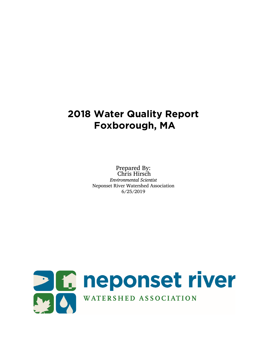# **2018 Water Quality Report Foxborough, MA**

Prepared By: Chris Hirsch *Environmental Scientist* Neponset River Watershed Association 6/25/2019

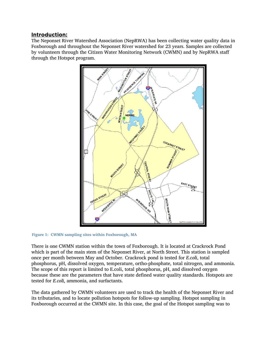#### Introduction:

The Neponset River Watershed Association (NepRWA) has been collecting water quality data in Foxborough and throughout the Neponset River watershed for 23 years. Samples are collected by volunteers through the Citizen Water Monitoring Network (CWMN) and by NepRWA staff through the Hotspot program.



**Figure 1: CWMN sampling sites within Foxborough, MA**

There is one CWMN station within the town of Foxborough. It is located at Crackrock Pond which is part of the main stem of the Neponset River, at North Street. This station is sampled once per month between May and October. Crackrock pond is tested for *E.coli*, total phosphorus, pH, dissolved oxygen, temperature, ortho-phosphate, total nitrogen, and ammonia. The scope of this report is limited to E.coli, total phosphorus, pH, and dissolved oxygen because these are the parameters that have state defined water quality standards. Hotspots are tested for *E.coli*, ammonia, and surfactants.

The data gathered by CWMN volunteers are used to track the health of the Neponset River and its tributaries, and to locate pollution hotspots for follow-up sampling. Hotspot sampling in Foxborough occurred at the CWMN site. In this case, the goal of the Hotspot sampling was to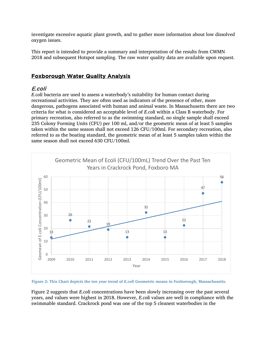investigate excessive aquatic plant growth, and to gather more information about low dissolved oxygen issues.

This report is intended to provide a summary and interpretation of the results from CWMN 2018 and subsequent Hotspot sampling. The raw water quality data are available upon request.

# Foxborough Water Quality Analysis

## E.coli

*E.coli* bacteria are used to assess a waterbody's suitability for human contact during recreational activities. They are often used as indicators of the presence of other, more dangerous, pathogens associated with human and animal waste. In Massachusetts there are two criteria for what is considered an acceptable level of *E.coli* within a Class B waterbody. For primary recreation, also referred to as the swimming standard, no single sample shall exceed 235 Colony Forming Units (CFU) per 100 ml, and/or the geometric mean of at least 5 samples taken within the same season shall not exceed 126 CFU/100ml. For secondary recreation, also referred to as the boating standard, the geometric mean of at least 5 samples taken within the same season shall not exceed 630 CFU/100ml.



Figure 2: This Chart depicts the ten year trend of *E.coli* Geometric means in Foxborough, Massachusetts.

Figure 2 suggests that *E.coli* concentrations have been slowly increasing over the past several years, and values were highest in 2018. However, *E.coli* values are well in compliance with the swimmable standard. Crackrock pond was one of the top 5 cleanest waterbodies in the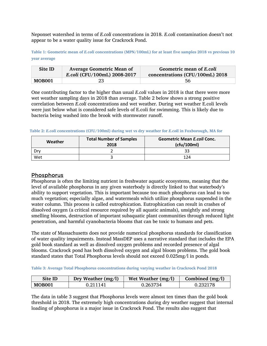Neponset watershed in terms of *E.coli* concentrations in 2018. *E.coli* contamination doesn't not appear to be a water quality issue for Crackrock Pond.

**Table 1: Geometric mean of** *E.coli* **concentrations (MPN/100mL) for at least five samples 2018 vs previous 10 year average**

| Site ID | <b>Average Geometric Mean of</b><br>E.coli (CFU/100mL) 2008-2017 | Geometric mean of E.coli<br>concentrations (CFU/100mL) 2018 |  |  |
|---------|------------------------------------------------------------------|-------------------------------------------------------------|--|--|
| MOB001  | 23                                                               | 56                                                          |  |  |

One contributing factor to the higher than usual *E.coli* values in 2018 is that there were more wet weather sampling days in 2018 than average. Table 2 below shows a strong positive correlation between *E.coli* concentrations and wet weather. During wet weather E.coli levels were just below what is considered safe levels of E.coli for swimming. This is likely due to bacteria being washed into the brook with stormwater runoff.

**Table 2:** *E.coli* **concentrations (CFU/100ml) during wet vs dry weather for** *E.coli* **in Foxborough, MA for** 

| <b>Total Number of Samples</b><br>Weather<br>2018 |  | <b>Geometric Mean E.coli Conc.</b><br>(cfu/100ml) |  |  |
|---------------------------------------------------|--|---------------------------------------------------|--|--|
|                                                   |  |                                                   |  |  |
| Wet                                               |  | 124                                               |  |  |

#### Phosphorus

Phosphorus is often the limiting nutrient in freshwater aquatic ecosystems, meaning that the level of available phosphorus in any given waterbody is directly linked to that waterbody's ability to support vegetation. This is important because too much phosphorus can lead to too much vegetation; especially algae, and watermeals which utilize phosphorus suspended in the water column. This process is called eutrophication. Eutrophication can result in crashes of dissolved oxygen (a critical resource required by all aquatic animals), unsightly and strong smelling blooms, destruction of important subaquatic plant communities through reduced light penetration, and harmful cyanobacteria blooms that can be toxic to humans and pets.

The state of Massachusetts does not provide numerical phosphorus standards for classification of water quality impairments. Instead MassDEP uses a narrative standard that includes the EPA gold book standard as well as dissolved oxygen problems and recorded presence of algal blooms. Crackrock pond has both dissolved oxygen and algal bloom problems. The gold book standard states that Total Phosphorus levels should not exceed 0.025mg/l in ponds.

**Table 3: Average Total Phosphorus concentrations during varying weather in Crackrock Pond 2018** 

| Site ID       | Dry Weather $(mg/l)$ | Wet Weather $(mg/l)$ | Combined $(mg/l)$ |
|---------------|----------------------|----------------------|-------------------|
| <b>MOB001</b> | 0.211141             | 0.263734             | 0.232178          |

The data in table 3 suggest that Phosphorus levels were almost ten times than the gold book threshold in 2018. The extremely high concentrations during dry weather suggest that internal loading of phosphorus is a major issue in Crackrock Pond. The results also suggest that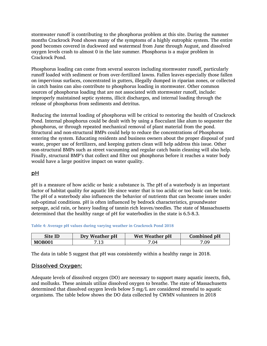stormwater runoff is contributing to the phosphorus problem at this site. During the summer months Crackrock Pond shows many of the symptoms of a highly eutrophic system. The entire pond becomes covered in duckweed and watermeal from June through August, and dissolved oxygen levels crash to almost 0 in the late summer. Phosphorus is a major problem in Crackrock Pond.

Phosphorus loading can come from several sources including stormwater runoff, particularly runoff loaded with sediment or from over-fertilized lawns. Fallen leaves especially those fallen on impervious surfaces, concentrated in gutters, illegally dumped in riparian zones, or collected in catch basins can also contribute to phosphorus loading in stormwater. Other common sources of phosphorus loading that are not associated with stormwater runoff, include: improperly maintained septic systems, illicit discharges, and internal loading through the release of phosphorus from sediments and detritus.

Reducing the internal loading of phosphorus will be critical to restoring the health of Crackrock Pond. Internal phosphorus could be dealt with by using a flocculant like alum to sequester the phosphorus, or through repeated mechanical removal of plant material from the pond. Structural and non-structural BMPs could help to reduce the concentrations of Phosphorus entering the system. Educating residents and business owners about the proper disposal of yard waste, proper use of fertilizers, and keeping gutters clean will help address this issue. Other non-structural BMPs such as street vacuuming and regular catch basin cleaning will also help. Finally, structural BMP's that collect and filter out phosphorus before it reaches a water body would have a large positive impact on water quality.

#### pH

pH is a measure of how acidic or basic a substance is. The pH of a waterbody is an important factor of habitat quality for aquatic life since water that is too acidic or too basic can be toxic. The pH of a waterbody also influences the behavior of nutrients that can become issues under sub-optimal conditions. pH is often influenced by bedrock characteristics, groundwater seepage, acid rain, or heavy loading of tannin rich leaves/needles. The state of Massachusetts determined that the healthy range of pH for waterbodies in the state is 6.5-8.3.

#### **Table 4: Average pH values during varying weather in Crackrock Pond 2018**

| Site ID       | Dry Weather pH | Wet Weather pH | Combined pH |
|---------------|----------------|----------------|-------------|
| <b>MOB001</b> | 7.13           | 7.04           | 7.09        |

The data in table 5 suggest that pH was consistently within a healthy range in 2018.

#### Dissolved Oxygen:

Adequate levels of dissolved oxygen (DO) are necessary to support many aquatic insects, fish, and mollusks. These animals utilize dissolved oxygen to breathe. The state of Massachusetts determined that dissolved oxygen levels below 5 mg/L are considered stressful to aquatic organisms. The table below shows the DO data collected by CWMN volunteers in 2018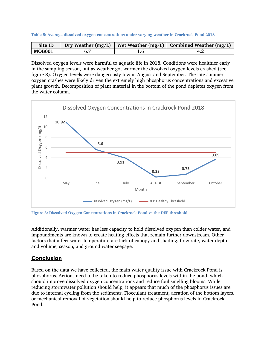|  |  |  |  |  | Table 5: Average dissolved oxygen concentrations under varying weather in Crackrock Pond 2018 |
|--|--|--|--|--|-----------------------------------------------------------------------------------------------|
|--|--|--|--|--|-----------------------------------------------------------------------------------------------|

| Site ID       | Dry Weather $(mg/L)$ | Wet Weather (mg/L) $\vert$ Combined Weather (mg/L) |
|---------------|----------------------|----------------------------------------------------|
| <b>MOB001</b> |                      |                                                    |

Dissolved oxygen levels were harmful to aquatic life in 2018. Conditions were healthier early in the sampling season, but as weather got warmer the dissolved oxygen levels crashed (see figure 3). Oxygen levels were dangerously low in August and September. The late summer oxygen crashes were likely driven the extremely high phosphorus concentrations and excessive plant growth. Decomposition of plant material in the bottom of the pond depletes oxygen from the water column.



**Figure 3: Dissolved Oxygen Concentrations in Crackrock Pond vs the DEP threshold**

Additionally, warmer water has less capacity to hold dissolved oxygen than colder water, and impoundments are known to create heating effects that remain further downstream. Other factors that affect water temperature are lack of canopy and shading, flow rate, water depth and volume, season, and ground water seepage.

### **Conclusion**

Based on the data we have collected, the main water quality issue with Crackrock Pond is phosphorus. Actions need to be taken to reduce phosphorus levels within the pond, which should improve dissolved oxygen concentrations and reduce foul smelling blooms. While reducing stormwater pollution should help, it appears that much of the phosphorus issues are due to internal cycling from the sediments. Flocculant treatment, aeration of the bottom layers, or mechanical removal of vegetation should help to reduce phosphorus levels in Crackrock Pond.